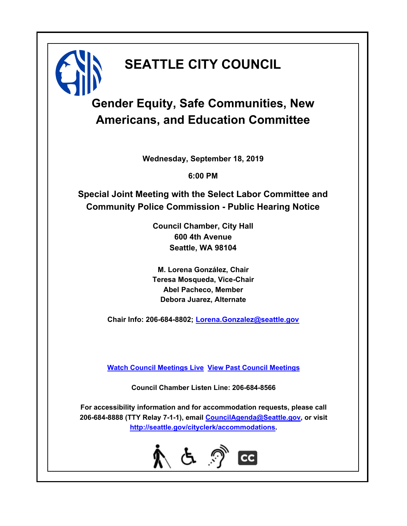# **SEATTLE CITY COUNCIL**

# **Gender Equity, Safe Communities, New Americans, and Education Committee**

**Wednesday, September 18, 2019**

**6:00 PM**

**Special Joint Meeting with the Select Labor Committee and Community Police Commission - Public Hearing Notice**

> **Council Chamber, City Hall 600 4th Avenue Seattle, WA 98104**

> **M. Lorena González, Chair Teresa Mosqueda, Vice-Chair Abel Pacheco, Member Debora Juarez, Alternate**

**Chair Info: 206-684-8802; [Lorena.Gonzalez@seattle.gov](mailto:Lorena.Gonzalez@seattle.gov)**

**[Watch Council Meetings Live](http://www.seattle.gov/council/councillive.htm) [View Past Council Meetings](http://www.seattlechannel.org/videos/browseVideos.asp?topic=council)**

**Council Chamber Listen Line: 206-684-8566**

**For accessibility information and for accommodation requests, please call 206-684-8888 (TTY Relay 7-1-1), email [CouncilAgenda@Seattle.gov](mailto: CouncilAgenda@Seattle.gov), or visit <http://seattle.gov/cityclerk/accommodations>.**

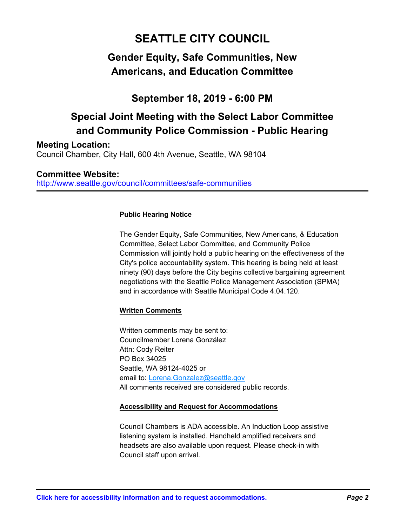# **SEATTLE CITY COUNCIL**

## **Gender Equity, Safe Communities, New Americans, and Education Committee**

## **September 18, 2019 - 6:00 PM**

## **Special Joint Meeting with the Select Labor Committee and Community Police Commission - Public Hearing**

**Meeting Location:**

Council Chamber, City Hall, 600 4th Avenue, Seattle, WA 98104

http://www.seattle.gov/council/committees/safe-communities **Committee Website:**

### **Public Hearing Notice**

The Gender Equity, Safe Communities, New Americans, & Education Committee, Select Labor Committee, and Community Police Commission will jointly hold a public hearing on the effectiveness of the City's police accountability system. This hearing is being held at least ninety (90) days before the City begins collective bargaining agreement negotiations with the Seattle Police Management Association (SPMA) and in accordance with Seattle Municipal Code 4.04.120.

### **Written Comments**

Written comments may be sent to: Councilmember Lorena González Attn: Cody Reiter PO Box 34025 Seattle, WA 98124-4025 or email to: Lorena.Gonzalez@seattle.gov All comments received are considered public records.

### **Accessibility and Request for Accommodations**

Council Chambers is ADA accessible. An Induction Loop assistive listening system is installed. Handheld amplified receivers and headsets are also available upon request. Please check-in with Council staff upon arrival.